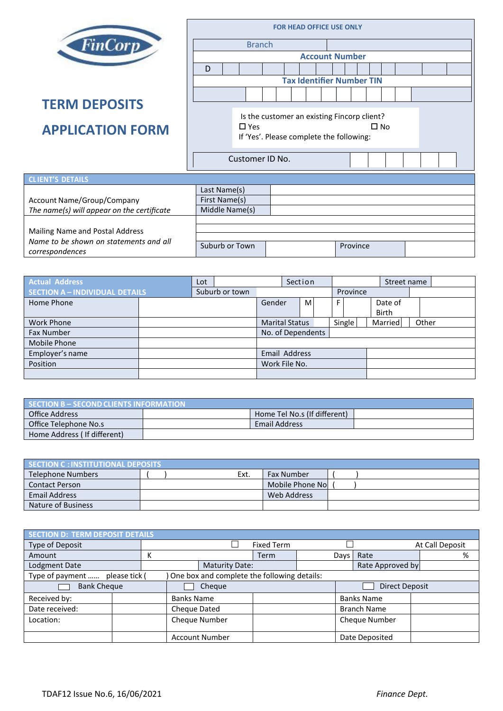|                                                           | <b>FOR HEAD OFFICE USE ONLY</b>                                        |                                             |                 |          |  |  |  |  |  |  |  |  |  |  |
|-----------------------------------------------------------|------------------------------------------------------------------------|---------------------------------------------|-----------------|----------|--|--|--|--|--|--|--|--|--|--|
| <b>FinCorp</b>                                            | <b>Branch</b>                                                          |                                             |                 |          |  |  |  |  |  |  |  |  |  |  |
|                                                           | <b>Account Number</b>                                                  |                                             |                 |          |  |  |  |  |  |  |  |  |  |  |
|                                                           | D                                                                      |                                             |                 |          |  |  |  |  |  |  |  |  |  |  |
|                                                           | <b>Tax Identifier Number TIN</b>                                       |                                             |                 |          |  |  |  |  |  |  |  |  |  |  |
|                                                           |                                                                        |                                             |                 |          |  |  |  |  |  |  |  |  |  |  |
| <b>TERM DEPOSITS</b>                                      |                                                                        |                                             |                 |          |  |  |  |  |  |  |  |  |  |  |
|                                                           |                                                                        | Is the customer an existing Fincorp client? |                 |          |  |  |  |  |  |  |  |  |  |  |
| <b>APPLICATION FORM</b>                                   | $\Box$ Yes<br>$\square$ No<br>If 'Yes'. Please complete the following: |                                             |                 |          |  |  |  |  |  |  |  |  |  |  |
|                                                           |                                                                        |                                             |                 |          |  |  |  |  |  |  |  |  |  |  |
|                                                           |                                                                        |                                             | Customer ID No. |          |  |  |  |  |  |  |  |  |  |  |
|                                                           |                                                                        |                                             |                 |          |  |  |  |  |  |  |  |  |  |  |
| <b>CLIENT'S DETAILS</b>                                   |                                                                        |                                             |                 |          |  |  |  |  |  |  |  |  |  |  |
|                                                           | Last Name(s)                                                           |                                             |                 |          |  |  |  |  |  |  |  |  |  |  |
| <b>Account Name/Group/Company</b>                         | First Name(s)                                                          |                                             |                 |          |  |  |  |  |  |  |  |  |  |  |
| The name(s) will appear on the certificate                | Middle Name(s)                                                         |                                             |                 |          |  |  |  |  |  |  |  |  |  |  |
|                                                           |                                                                        |                                             |                 |          |  |  |  |  |  |  |  |  |  |  |
| Mailing Name and Postal Address                           |                                                                        |                                             |                 |          |  |  |  |  |  |  |  |  |  |  |
| Name to be shown on statements and all<br>correspondences | Suburb or Town                                                         |                                             |                 | Province |  |  |  |  |  |  |  |  |  |  |

| <b>Actual Address</b>                 |  | Lot |                | Section               |  |    |          | Street name |  |                         |       |  |
|---------------------------------------|--|-----|----------------|-----------------------|--|----|----------|-------------|--|-------------------------|-------|--|
| <b>SECTION A - INDIVIDUAL DETAILS</b> |  |     | Suburb or town |                       |  |    | Province |             |  |                         |       |  |
| Home Phone                            |  |     |                | Gender                |  | M. |          | F           |  | Date of<br><b>Birth</b> |       |  |
| <b>Work Phone</b>                     |  |     |                | <b>Marital Status</b> |  |    |          | Single      |  | Married                 | Other |  |
| <b>Fax Number</b>                     |  |     |                | No. of Dependents     |  |    |          |             |  |                         |       |  |
| Mobile Phone                          |  |     |                |                       |  |    |          |             |  |                         |       |  |
| Employer's name                       |  |     |                | Email Address         |  |    |          |             |  |                         |       |  |
| Position                              |  |     |                | Work File No.         |  |    |          |             |  |                         |       |  |
|                                       |  |     |                |                       |  |    |          |             |  |                         |       |  |

| SECTION B - SECOND CLIENTS INFORMATION |  |                              |  |  |  |  |  |
|----------------------------------------|--|------------------------------|--|--|--|--|--|
| Office Address                         |  | Home Tel No.s (If different) |  |  |  |  |  |
| Office Telephone No.s                  |  | <b>Email Address</b>         |  |  |  |  |  |
| Home Address (If different)            |  |                              |  |  |  |  |  |

| <b>SECTION C: INSTITUTIONAL DEPOSITS</b> |  |      |                   |  |  |  |  |  |
|------------------------------------------|--|------|-------------------|--|--|--|--|--|
| Telephone Numbers                        |  | Ext. | <b>Fax Number</b> |  |  |  |  |  |
| <b>Contact Person</b>                    |  |      | Mobile Phone No   |  |  |  |  |  |
| <b>Email Address</b>                     |  |      | Web Address       |  |  |  |  |  |
| Nature of Business                       |  |      |                   |  |  |  |  |  |

| <b>SECTION D: TERM DEPOSIT DETAILS</b> |                                             |                       |                   |                       |  |                      |      |                       |  |
|----------------------------------------|---------------------------------------------|-----------------------|-------------------|-----------------------|--|----------------------|------|-----------------------|--|
| Type of Deposit                        |                                             |                       |                   | <b>Fixed Term</b>     |  |                      |      | At Call Deposit       |  |
| Amount                                 |                                             | К                     |                   | Term                  |  | Days                 | Rate | %                     |  |
| Lodgment Date                          |                                             | <b>Maturity Date:</b> |                   |                       |  |                      |      | Rate Approved by      |  |
| Type of payment  please tick (         | One box and complete the following details: |                       |                   |                       |  |                      |      |                       |  |
| <b>Bank Cheque</b>                     |                                             |                       |                   | Cheque                |  |                      |      | <b>Direct Deposit</b> |  |
| Received by:                           |                                             |                       | <b>Banks Name</b> |                       |  | <b>Banks Name</b>    |      |                       |  |
| Date received:                         |                                             |                       | Cheque Dated      |                       |  | <b>Branch Name</b>   |      |                       |  |
| Location:                              |                                             |                       | Cheque Number     |                       |  | <b>Cheque Number</b> |      |                       |  |
|                                        |                                             |                       |                   | <b>Account Number</b> |  |                      |      | Date Deposited        |  |

Г